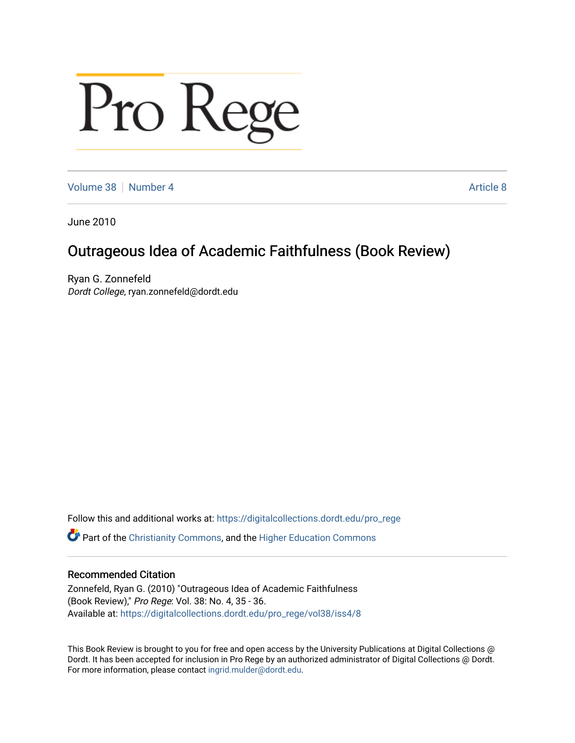## Pro Rege

[Volume 38](https://digitalcollections.dordt.edu/pro_rege/vol38) [Number 4](https://digitalcollections.dordt.edu/pro_rege/vol38/iss4) Article 8

June 2010

## Outrageous Idea of Academic Faithfulness (Book Review)

Ryan G. Zonnefeld Dordt College, ryan.zonnefeld@dordt.edu

Follow this and additional works at: [https://digitalcollections.dordt.edu/pro\\_rege](https://digitalcollections.dordt.edu/pro_rege?utm_source=digitalcollections.dordt.edu%2Fpro_rege%2Fvol38%2Fiss4%2F8&utm_medium=PDF&utm_campaign=PDFCoverPages) 

Part of the [Christianity Commons,](http://network.bepress.com/hgg/discipline/1181?utm_source=digitalcollections.dordt.edu%2Fpro_rege%2Fvol38%2Fiss4%2F8&utm_medium=PDF&utm_campaign=PDFCoverPages) and the [Higher Education Commons](http://network.bepress.com/hgg/discipline/1245?utm_source=digitalcollections.dordt.edu%2Fpro_rege%2Fvol38%2Fiss4%2F8&utm_medium=PDF&utm_campaign=PDFCoverPages) 

## Recommended Citation

Zonnefeld, Ryan G. (2010) "Outrageous Idea of Academic Faithfulness (Book Review)," Pro Rege: Vol. 38: No. 4, 35 - 36. Available at: [https://digitalcollections.dordt.edu/pro\\_rege/vol38/iss4/8](https://digitalcollections.dordt.edu/pro_rege/vol38/iss4/8?utm_source=digitalcollections.dordt.edu%2Fpro_rege%2Fvol38%2Fiss4%2F8&utm_medium=PDF&utm_campaign=PDFCoverPages) 

This Book Review is brought to you for free and open access by the University Publications at Digital Collections @ Dordt. It has been accepted for inclusion in Pro Rege by an authorized administrator of Digital Collections @ Dordt. For more information, please contact [ingrid.mulder@dordt.edu](mailto:ingrid.mulder@dordt.edu).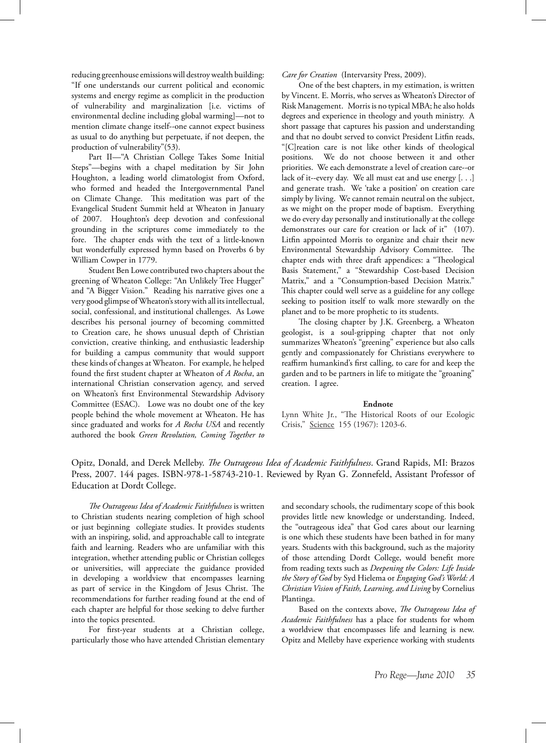reducing greenhouse emissions will destroy wealth building: "If one understands our current political and economic systems and energy regime as complicit in the production of vulnerability and marginalization [i.e. victims of environmental decline including global warming]—not to mention climate change itself--one cannot expect business as usual to do anything but perpetuate, if not deepen, the production of vulnerability"(53).

Part II—"A Christian College Takes Some Initial Steps"—begins with a chapel meditation by Sir John Houghton, a leading world climatologist from Oxford, who formed and headed the Intergovernmental Panel on Climate Change. This meditation was part of the Evangelical Student Summit held at Wheaton in January of 2007. Houghton's deep devotion and confessional grounding in the scriptures come immediately to the fore. The chapter ends with the text of a little-known but wonderfully expressed hymn based on Proverbs 6 by William Cowper in 1779.

Student Ben Lowe contributed two chapters about the greening of Wheaton College: "An Unlikely Tree Hugger" and "A Bigger Vision." Reading his narrative gives one a very good glimpse of Wheaton's story with all its intellectual, social, confessional, and institutional challenges. As Lowe describes his personal journey of becoming committed to Creation care, he shows unusual depth of Christian conviction, creative thinking, and enthusiastic leadership for building a campus community that would support these kinds of changes at Wheaton. For example, he helped found the first student chapter at Wheaton of *A Rocha*, an international Christian conservation agency, and served on Wheaton's first Environmental Stewardship Advisory Committee (ESAC). Lowe was no doubt one of the key people behind the whole movement at Wheaton. He has since graduated and works for *A Rocha USA* and recently authored the book *Green Revolution, Coming Together to* 

*Care for Creation* (Intervarsity Press, 2009).

One of the best chapters, in my estimation, is written by Vincent. E. Morris, who serves as Wheaton's Director of Risk Management. Morris is no typical MBA; he also holds degrees and experience in theology and youth ministry. A short passage that captures his passion and understanding and that no doubt served to convict President Litfin reads, "[C]reation care is not like other kinds of theological positions. We do not choose between it and other priorities. We each demonstrate a level of creation care--or lack of it--every day. We all must eat and use energy [. . .] and generate trash. We 'take a position' on creation care simply by living. We cannot remain neutral on the subject, as we might on the proper mode of baptism. Everything we do every day personally and institutionally at the college demonstrates our care for creation or lack of it" (107). Litfin appointed Morris to organize and chair their new Environmental Stewardship Advisory Committee. The chapter ends with three draft appendices: a "Theological Basis Statement," a "Stewardship Cost-based Decision Matrix," and a "Consumption-based Decision Matrix." This chapter could well serve as a guideline for any college seeking to position itself to walk more stewardly on the planet and to be more prophetic to its students.

The closing chapter by J.K. Greenberg, a Wheaton geologist, is a soul-gripping chapter that not only summarizes Wheaton's "greening" experience but also calls gently and compassionately for Christians everywhere to reaffirm humankind's first calling, to care for and keep the garden and to be partners in life to mitigate the "groaning" creation. I agree.

## **Endnote**

Lynn White Jr., "The Historical Roots of our Ecologic Crisis," Science 155 (1967): 1203-6.

Opitz, Donald, and Derek Melleby. *The Outrageous Idea of Academic Faithfulness*. Grand Rapids, MI: Brazos Press, 2007. 144 pages. ISBN-978-1-58743-210-1. Reviewed by Ryan G. Zonnefeld, Assistant Professor of Education at Dordt College.

*The Outrageous Idea of Academic Faithfulness* is written to Christian students nearing completion of high school or just beginning collegiate studies. It provides students with an inspiring, solid, and approachable call to integrate faith and learning. Readers who are unfamiliar with this integration, whether attending public or Christian colleges or universities, will appreciate the guidance provided in developing a worldview that encompasses learning as part of service in the Kingdom of Jesus Christ. The recommendations for further reading found at the end of each chapter are helpful for those seeking to delve further into the topics presented.

For first-year students at a Christian college, particularly those who have attended Christian elementary and secondary schools, the rudimentary scope of this book provides little new knowledge or understanding. Indeed, the "outrageous idea" that God cares about our learning is one which these students have been bathed in for many years. Students with this background, such as the majority of those attending Dordt College, would benefit more from reading texts such as *Deepening the Colors: Life Inside the Story of God* by Syd Hielema or *Engaging God's World: A Christian Vision of Faith, Learning, and Living* by Cornelius Plantinga.

Based on the contexts above, *The Outrageous Idea of Academic Faithfulness* has a place for students for whom a worldview that encompasses life and learning is new. Opitz and Melleby have experience working with students